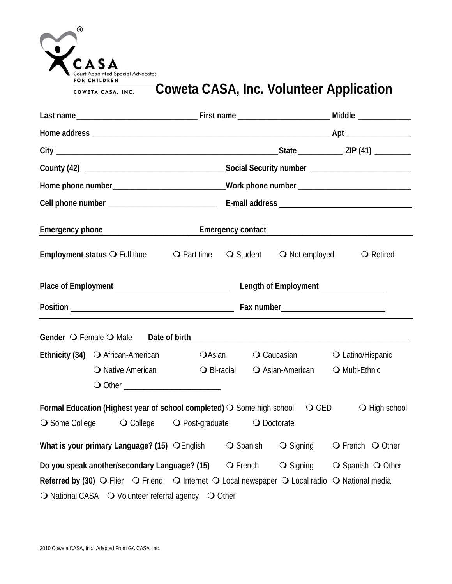| CASA<br>Court Appointed Special Advocates<br><b>FOR CHILDREN</b> |
|------------------------------------------------------------------|
| COWETA CASA, INC.                                                |

## **Coweta CASA, Inc. Volunteer Application**

|                | Employment status O Full time O Part time O Student O Not employed O Retired                                                                                                                                                                                |  |                    |                                             |                                     |
|----------------|-------------------------------------------------------------------------------------------------------------------------------------------------------------------------------------------------------------------------------------------------------------|--|--------------------|---------------------------------------------|-------------------------------------|
|                |                                                                                                                                                                                                                                                             |  |                    |                                             |                                     |
|                |                                                                                                                                                                                                                                                             |  |                    |                                             |                                     |
|                |                                                                                                                                                                                                                                                             |  |                    |                                             |                                     |
|                | <b>Ethnicity (34)</b> O African-American CASian O Caucasian O Latino/Hispanic<br>○ Native American                                                                                                                                                          |  |                    | ○ Bi-racial ○ Asian-American ○ Multi-Ethnic |                                     |
|                |                                                                                                                                                                                                                                                             |  |                    |                                             |                                     |
| ○ Some College | Formal Education (Highest year of school completed) ○ Some high school ○ GED<br>○ College ○ Post-graduate ○ Doctorate                                                                                                                                       |  |                    |                                             | $\bigcirc$ High school              |
|                | What is your primary Language? (15) O English                                                                                                                                                                                                               |  | $\bigcirc$ Spanish | $\bigcirc$ Signing                          | $\bigcirc$ French $\bigcirc$ Other  |
|                | Do you speak another/secondary Language? (15)<br>Referred by (30) $\bigcirc$ Flier $\bigcirc$ Friend $\bigcirc$ Internet $\bigcirc$ Local newspaper $\bigcirc$ Local radio $\bigcirc$ National media<br>O National CASA O Volunteer referral agency O Other |  | $\bigcirc$ French  | $\bigcirc$ Signing                          | $\bigcirc$ Spanish $\bigcirc$ Other |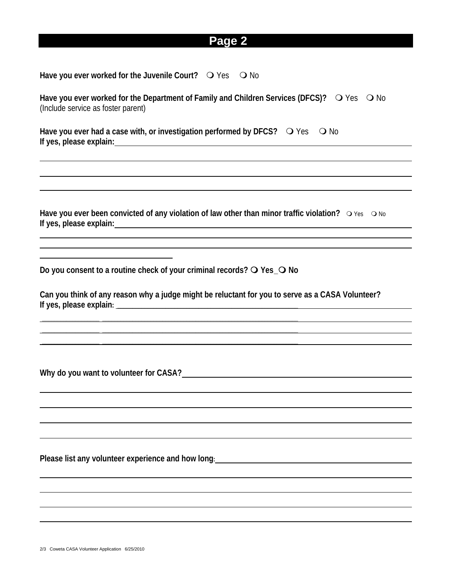## **Page 2**

Have you ever worked for the Juvenile Court?  $\bigcirc$  Yes  $\bigcirc$  No

Have you ever worked for the Department of Family and Children Services (DFCS)?  $\bigcirc$  Yes  $\bigcirc$  No (Include service as foster parent)

Have you ever had a case with, or investigation performed by DFCS?  $\bigcirc$  Yes  $\bigcirc$  No **If yes, please explain:** 

Have you ever been convicted of any violation of law other than minor traffic violation?  $\circ$  Yes  $\circ$  No **If yes, please explain:** 

**Do you consent to a routine check of your criminal records? Yes\_ No** 

**\_\_\_\_\_\_\_\_\_\_\_\_\_\_\_\_\_\_\_ \_\_\_\_\_\_\_\_\_\_\_\_\_\_\_\_\_\_\_\_\_\_\_\_\_\_\_\_\_\_\_\_\_\_\_\_\_\_\_\_\_\_\_\_\_\_\_\_\_\_\_\_\_\_\_\_\_\_\_\_\_\_\_\_\_ \_\_\_\_\_\_\_\_\_\_\_\_\_\_\_\_\_\_\_ \_\_\_\_\_\_\_\_\_\_\_\_\_\_\_\_\_\_\_\_\_\_\_\_\_\_\_\_\_\_\_\_\_\_\_\_\_\_\_\_\_\_\_\_\_\_\_\_\_\_\_\_\_\_\_\_\_\_\_\_\_\_\_\_\_ \_\_\_\_\_\_\_\_\_\_\_\_\_\_\_\_\_\_\_ \_\_\_\_\_\_\_\_\_\_\_\_\_\_\_\_\_\_\_\_\_\_\_\_\_\_\_\_\_\_\_\_\_\_\_\_\_\_\_\_\_\_\_\_\_\_\_\_\_\_\_\_\_\_\_\_\_\_\_\_\_\_\_\_\_** 

**Can you think of any reason why a judge might be reluctant for you to serve as a CASA Volunteer?**  If yes, please explain:

**Why do you want to volunteer for CASA?**

l

  $\overline{\phantom{a}}$ l

 $\overline{\phantom{a}}$ 

**Please list any volunteer experience and how long:**